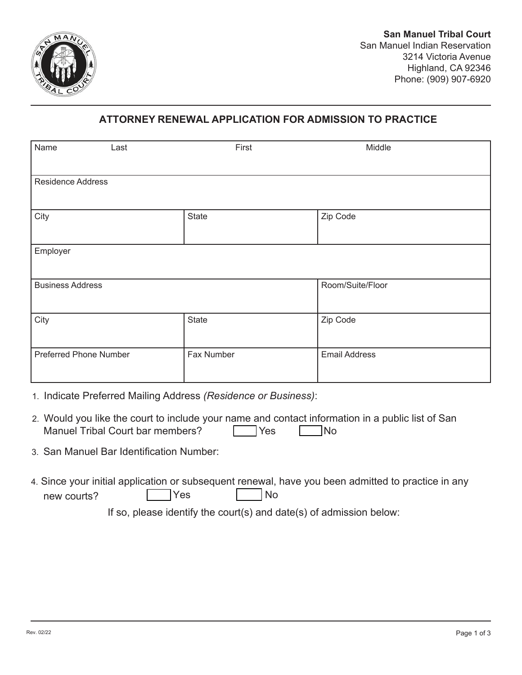

## **ATTORNEY RENEWAL APPLICATION FOR ADMISSION TO PRACTICE**

| Name<br>Last                  |            | First | Middle               |
|-------------------------------|------------|-------|----------------------|
| <b>Residence Address</b>      |            |       |                      |
| City                          | State      |       | Zip Code             |
| Employer                      |            |       |                      |
| <b>Business Address</b>       |            |       | Room/Suite/Floor     |
| City                          | State      |       | Zip Code             |
| <b>Preferred Phone Number</b> | Fax Number |       | <b>Email Address</b> |

- 1. Indicate Preferred Mailing Address *(Residence or Business)*:
- 2. Would you like the court to include your name and contact information in a public list of San Manuel Tribal Court bar members? Thes No
- 3. San Manuel Bar Identification Number:
- 4. Since your initial application or subsequent renewal, have you been admitted to practice in any new courts? The No

If so, please identify the court(s) and date(s) of admission below: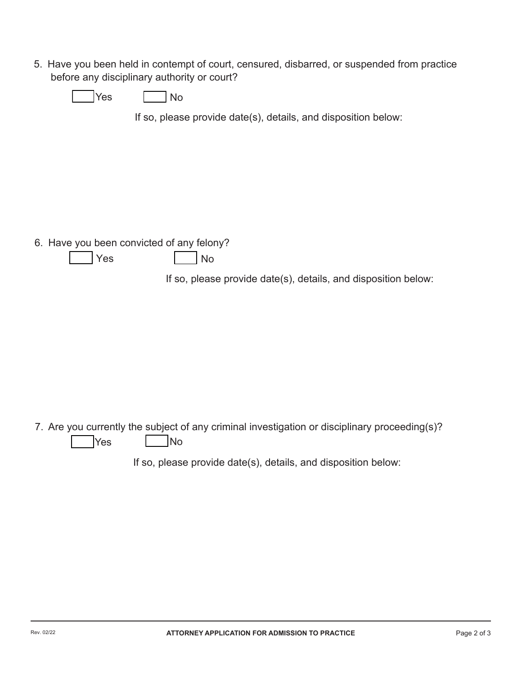5. Have you been held in contempt of court, censured, disbarred, or suspended from practice before any disciplinary authority or court?

| $\sim$<br>ง∩<br>-- |
|--------------------|
|--------------------|

If so, please provide date(s), details, and disposition below:

6. Have you been convicted of any felony?

| Yes. |  | <b>No</b> |
|------|--|-----------|
|------|--|-----------|

If so, please provide date(s), details, and disposition below:

7. Are you currently the subject of any criminal investigation or disciplinary proceeding(s)?  $\sqrt{Y}$ es  $\boxed{\phantom{0}}$ No

If so, please provide date(s), details, and disposition below: